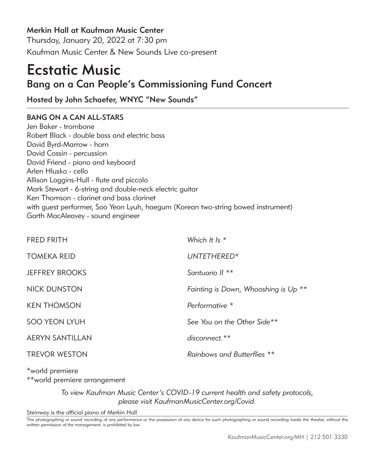Merkin Hall at Kaufman Music Center

Thursday, January 20, 2022 at 7:30 pm Kaufman Music Center & New Sounds Live co-present

# Ecstatic Music Bang on a Can People's Commissioning Fund Concert

Hosted by John Schaefer, WNYC "New Sounds"

# BANG ON A CAN ALL-STARS

Jen Baker - trombone Robert Black - double bass and electric bass David Byrd-Marrow - horn David Cossin - percussion David Friend - piano and keyboard Arlen Hlusko - cello Allison Loggins-Hull - flute and piccolo Mark Stewart - 6-string and double-neck electric guitar Ken Thomson - clarinet and bass clarinet with guest performer, Soo Yeon Lyuh, haegum (Korean two-string bowed instrument) Garth MacAleavey - sound engineer

| <b>FRED FRITH</b>      | Which It Is $*$                      |
|------------------------|--------------------------------------|
| <b>TOMEKA REID</b>     | UNTETHERED*                          |
| <b>JEFFREY BROOKS</b>  | Santuario II <sup>**</sup>           |
| NICK DUNSTON           | Fainting is Down, Whooshing is Up ** |
| <b>KEN THOMSON</b>     | Performative *                       |
| <b>SOO YEON LYUH</b>   | See You on the Other Side**          |
| <b>AERYN SANTILLAN</b> | $disconnect.**$                      |
| <b>TREVOR WESTON</b>   | Rainbows and Butterflies **          |

\*world premiere \*\*world premiere arrangement

> *To view Kaufman Music Center's COVID-19 current health and safety protocols, please visit KaufmanMusicCenter.org/Covid.*

Steinway is the official piano of Merkin Hall

The photographing or sound recording of any performance or the possession of any device for such photographing or sound recording inside the theater, without the written permission of the management, is prohibited by law.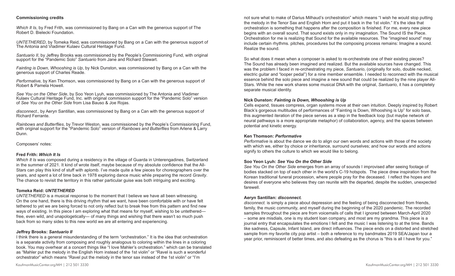#### **Commissioning credits**

*Which It Is*, by Fred Frith, was commissioned by Bang on a Can with the generous support of The Robert D. Bielecki Foundation.

*UNTETHERED*, by Tomeka Reid, was commissioned by Bang on a Can with the generous support of The Antonia and Vladimer Kulaev Cultural Heritage Fund.

*Santuario II*, by Jeffrey Brooks was commissioned by the People's Commissioning Fund, with original support for the "Pandemic Solo" *Santuario* from Jane and Richard Stewart.

*Fainting is Down, Whooshing is Up*, by Nick Dunston, was commissioned by Bang on a Can with the generous support of Charles Reade.

*Performative,* by Ken Thomson, was commissioned by Bang on a Can with the generous support of Robert & Pamela Howell.

*See You on the Other Side*, by Soo Yeon Lyuh, was commissioned by The Antonia and Vladimer Kulaev Cultural Heritage Fund, Inc. with original commission support for the "Pandemic Solo" version of *See You on the Other Side* from Lisa Bauso & Joe Rojas.

*disconnect.,* by Aeryn Santillan, was commissioned by Bang on a Can with the generous support of Richard Ferrante.

*Rainbows and Butterflies*, by Trevor Weston, was commissioned by the People's Commissioning Fund, with original support for the "Pandemic Solo" version of *Rainbows and Butterflies* from Arlene & Larry Dunn.

Composers' notes:

#### **Fred Frith:** *Which It Is*

*Which It Is* was composed during a residency in the village of Guarda in Unterengadines, Switzerland in the summer of 2021. It kind of wrote itself, maybe because of my absolute confidence that the All-Stars can play this kind of stuff with aplomb. I've made quite a few pieces for choreographers over the years, and spent a lot of time back in 1978 exploring dance music while preparing the record *Gravity*. The chance to revisit the territory in this rather particular guise was both intriguing and exciting.

# **Tomeka Reid:** *UNTETHERED*

*UNTETHERED* is a musical response to the moment that I believe we have all been witnessing. On the one hand, there is this driving rhythm that we want, have been comfortable with or have felt tethered to yet we are being forced to not only reflect but to break free from this pattern and find new ways of existing. In this piece I am exploring what that means for myself, wishing to be untethered free, even wild, and unapologetically— of many things and wishing that there wasn't so much push back from so many sides to this new world we are all entering and experiencing.

# **Jeffrey Brooks:** *Santuario II*

I think there is a general misunderstanding of the term "orchestration." It is the idea that orchestration is a separate activity from composing and roughly analogous to coloring within the lines in a coloring book. You may overhear at a concert things like "I love Mahler's orchestration." which can be translated as "Mahler put the melody in the English Horn instead of the 1st violin" or "Ravel is such a wonderful orchestrator" which means "Ravel put the melody in the tenor sax instead of the 1st violin" or "I'm

So what does it mean when a composer is asked to re-orchestrate one of their existing pieces? The Sound has already been imagined and realized. But the available sources have changed. This was the problem I faced in re-orchestrating my piece, *Santuario*, (originally for solo, double necked, electric guitar and "looper pedal") for a nine member ensemble. I needed to reconnect with the musical essence behind the solo piece and imagine a new sound that could be realized by the nine player All-Stars. While the new work shares some musical DNA with the original, *Santuario*, it has a completely separate musical identity.

#### **Nick Dunston:** *Fainting is Down, Whooshing is Up*

Cells expand, tissues compress, organ systems move at their own intuition. Deeply inspired by Robert Black's gorgeous multitudes of performances of "Fainting is Down, Whooshing is Up" for solo bass, this augmented iteration of the piece serves as a step in the feedback loop (but maybe network of neural pathways is a more appropriate metaphor) of collaboration, agency, and the spaces between potential and kinetic energy.

#### **Ken Thomson:** *Performative*

*Performative* is about the dance we do to align our own words and actions with those of the society with which we, either by choice or inheritance, surround ourselves; and how our words and actions signify to others the culture to which we would like to belong.

# **Soo Yeon Lyuh:** *See You On the Other Side*

*See You On the Other Side* emerges from an array of sounds I improvised after seeing footage of bodies stacked on top of each other in the world's C-19 hotspots. The piece drew inspiration from the Korean traditional funeral procession, where people pray for the deceased. I reflect the hopes and desires of everyone who believes they can reunite with the departed, despite the sudden, unexpected farewell.

#### **Aeryn Santillan:** *disconnect.*

*disconnect.* is simply a piece about depression and the feeling of being disconnected from friends, family, the music community, and myself during the beginning of the 2020 pandemic. The recorded samples throughout the piece are from voicemails of calls that I ignored between March-April 2020 – some are misdials, one is my student loan company, and most are my grandma. This piece is a journal entry that encapsulates the emotions I felt and the music I was listening to at the time. Bands like sadness, Capsule, Infant Island, are direct influences. The piece ends on a distorted and stretched sample from my favorite city pop artist – both a reference to my bandmates 2019 SEA/Japan tour a year prior, reminiscent of better times, and also defeating as the chorus is "this is all I have for you."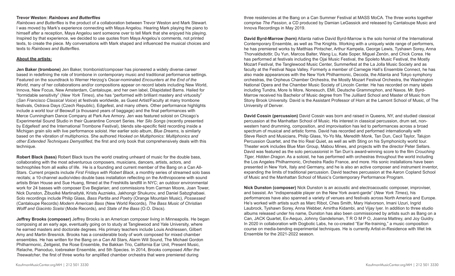#### **Trevor Weston:** *Rainbows and Butterflies*

*Rainbows and Butterflies* is the product of a collaboration between Trevor Weston and Mark Stewart. I was moved by Mark's experience connecting with Maya Angelou. Hearing Mark playing the piano to himself after a reception, Maya Angelou sent someone over to tell Mark that she enjoyed his playing. Inspired by that experience, we decided to use quotes from Maya Angelou's comments, not printed texts, to create the piece. My conversations with Mark shaped and influenced the musical choices and texts to *Rainbows and Butterflies*.

# **About the artists:**

**Jen Baker (trombone)** Jen Baker, trombonist/composer has pioneered a widely diverse career based in redefining the role of trombone in contemporary music and traditional performance settings. Featured on the soundtrack to Werner Herzog's Oscar-nominated *Encounters at the End of the World*, many of her collaborations and/or compositions appear on record labels including New World, Innova, New Focus, New Amsterdam, Cantaloupe, and her own label, Dilapidated Barns. Hailed for "formidable sensitivity" (*New York Times*), she has "performed with brilliant mastery and virtuosity" (*San Francisco Classical Voice*) at festivals worldwide, as Guest Artist/Faculty at many trombone festivals, Ostrava Days (Czech Republic), Edgefest, and many others. Other performance highlights include a world tour of Beowulf (a thousand years of baggage) and the final performances with Merce Cunningham Dance Company at Park Ave Armory. Jen was featured soloist on Chicago's Experimental Sound Studio in their Quarantine Concert Series. Her *Silo Songs* (recently presented by Edgefest! and the International Trombone Festival), blends site-specific field recording inside a Michigan grain silo with live performance soloist. Her earlier solo album, *Blue Dreams*, is similarly based on the vibration of multiphonics. She authored *Hooked on Multiphonics: Multiphonics and other Extended Techniques Demystified*, the first and only book that comprehensively deals with this technique.

**Robert Black (bass)** Robert Black tours the world creating unheard of music for the double bass, collaborating with the most adventurous composers, musicians, dancers, artists, actors, and technophiles from all walks of life. He is a founding and current member of the Bang on a Can All-Stars. Current projects include *First Fridays with Robert Black*, a monthly series of streamed solo bass recitals; a 10-channel audio/video double bass installation reflecting on the Anthropocene with sound artists Brian House and Sue Huang, filmed at the Freshkills landfill in NYC; an outdoor environmental work for 24 basses with composer Eve Beglarian; and commissions from Carman Moore, Joan Tower, Nick Dunston, Žibuolkė Martinaitytė, Krists Auznieks, Jakhongir Shukurov, and Daniel Sabzghabaei. Solo recordings include Philip Glass, *Bass Partita and Poetry* (Orange Mountain Music), *Possessed* (Cantaloupe Records) *Modern American Bass* (New World Records), *The Bass Music of Christian Wolff and Giacinto Scelsi* (Mode Records), and *State of the Bass* (O.O. Discs).

**Jeffrey Brooks (composer)** Jeffrey Brooks is an American composer living in Minneapolis. He began composing at an early age, eventually going on to study at Tanglewood and Yale University, where he earned masters and doctorate degrees. His primary teachers include Louis Andriessen, Gilbert Amy and Martin Bresnick. Brooks has a considerable body of work composed for mixed chamber ensembles. He has written for the Bang on a Can All Stars, Alarm Will Sound, The Michael Gordon Philharmonic, Zeitgeist, the Rose Ensemble, the Bakkan Trio, California Ear Unit, Present Music, Relache, Pianoduo, Icebreaker Ensemble, and 5th Species. In 2014, Brooks composed *After the Treewatcher*, the first of three works for amplified chamber orchestra that were premiered during

three residencies at the Bang on a Can Summer Festival at MASS MoCA. The three works together comprise *The Passion*, a CD produced by Damian LeGassick and released by Cantaloupe Music and Innova Recordings in May 2019.

**David Byrd-Marrow (horn)** Atlanta native David Byrd-Marrow is the solo hornist of the International Contemporary Ensemble, as well as The Knights. Working with a uniquely wide range of performers, he has premiered works by Matthias Pintscher, Arthur Kampela, George Lewis, Tyshawn Sorey, Anna Thorvaldsdottir, Du Yun, Marcos Balter, Wang Lu, Kate Soper, Miguel Zenón, and Chick Corea. He has performed at festivals including the Ojai Music Festival, the Spoleto Music Festival, the Mostly Mozart Festival, the Tanglewood Music Center, Summerfest at the La Jolla Music Society and as faculty at the Festival Napa Valley. Formerly a member of Carnegie Hall's Ensemble Connect, he has also made appearances with the New York Philharmonic, Decoda, the Atlanta and Tokyo symphony orchestras, the Orpheus Chamber Orchestra, the Mostly Mozart Festival Orchestra, the Washington National Opera and the Chamber Music Society of Lincoln Center. He has recorded on many labels including Tundra, More Is More, Nonesuch, EMI, Deutsche Grammophon, and Naxos. Mr. Byrd-Marrow received his Bachelor of Music degree from The Juilliard School and Master of Music from Stony Brook University. David is the Assistant Professor of Horn at the Lamont School of Music, of The University of Denver.

**David Cossin (percussion)** David Cossin was born and raised in Queens, NY, and studied classical percussion at the Manhattan School of Music. His interest in classical percussion, drum set, nonwestern hand drumming, composition, and improvisation has led to performances across a broad spectrum of musical and artistic forms. David has recorded and performed internationally with Steve Reich and Musicians, Philip Glass, Yo-Yo Ma, Meredith Monk, Tan Dun, Cecil Taylor, Talujon Percussion Quartet, and the trio Real Quiet, as well as with Sting on his Symphonicity world tour. Theater work includes Blue Man Group, Mabou Mines, and projects with the director Peter Sellars. David was featured as the solo percussionist in Tan Dun's award-winning score to the film *Crouching Tiger, Hidden Dragon*. As a soloist, he has performed with orchestras throughout the world including the Los Angeles Philharmonic, Orchestra Radio France, and more. His sonic installations have been presented in New York, Italy and Germany, and he is also an active composer and instrument inventor, expanding the limits of traditional percussion. David teaches percussion at the Aaron Copland School of Music and the Manhattan School of Music's Contemporary Performance Program.

**Nick Dunston (composer)** Nick Dunston is an acoustic and electroacoustic composer, improviser, and bassist. An "indispensable player on the New York avant-garde" (*New York Times*), his performances have also spanned a variety of venues and festivals across North America and Europe. He's worked with artists such as Marc Ribot, Ches Smith, Mary Halvorson, Imani Uzuri, Ingrid Laubrock, Tyshawn Sorey, Anna Webber, Amirtha Kidambi, and Vijay Iyer. In addition to three studio albums released under his name, Dunston has also been commissioned by artists such as Bang on a Can, JACK Quartet, Ex-Aequo, Johnny Gandelsman, T R O M P O, Joanna Mattrey, and Joy Guidry. In 2020 in collaboration with Dogbotic Labs, he co-created "Ear Re-training," a music composition course on media-bending experimental techniques. He is currently Artist-in-Residence with Wet Ink Ensemble for the 2021-2022 season.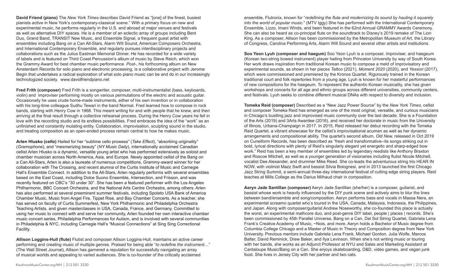**David Friend (piano)** The *New York Times* describes David Friend as "[one] of the finest, busiest pianists active in New York's contemporary-classical scene." With a primary focus on new and experimental music, he performs regularly in the U.S. and abroad at major venues and festivals as well as alternative DIY spaces. He is a member of an eclectic array of groups including Bent Duo, Grand Band, TRANSIT New Music, and Ensemble Signal, a frequent guest artist with ensembles including Bang on a Can All-Stars, Alarm Will Sound, American Composers Orchestra, and International Contemporary Ensemble, and regularly pursues interdisciplinary projects and collaborations such as the Julius Eastman Memorial Dinner. He has recorded for a wide variety of labels and is featured on Third Coast Percussion's album of music by Steve Reich, which won the Grammy Award for best chamber music performance. *Post-*, his forthcoming album on New Amsterdam Records for solo piano and electronic processing, is a collaborative project with Jerome Begin that undertakes a radical exploration of what solo piano music can be and do in our increasingly technologized society. www.davidfriendpiano.net

**Fred Frith (composer)** Fred Frith is a songwriter, composer, multi-instrumentalist (bass, keyboards, violin) and improviser performing mostly on various permutations of the electric and acoustic guitar. Occasionally he uses crude home-made instruments, either of his own invention or in collaboration with his long-time colleague Sudhu Tewari in the band Normal. Fred learned how to compose in rock bands, starting with Henry Cow in 1968. This meant writing for and with people that he knew, and then arriving at the final result through a collective rehearsal process. During the Henry Cow years he fell in love with the recording studio and its endless possibilities. Fred embraces the idea of the "work" as an unfinished and constantly mutating entity. Collaboration, improvisation, sculpting sound in the studio, and treating composition as an open-ended process remain central to how he makes music.

**Arlen Hlusko (cello)** Hailed for her "sublime cello prowess" (*Take Effect*), "absorbing originality" (*Gramophone*), and "mesmerizing beauty" (*NY Music Daily*), internationally acclaimed Canadian cellist Arlen Hlusko is a dynamic, versatile young artist who has performed extensively as soloist and chamber musician across North America, Asia, and Europe. Newly appointed cellist of the Bang on a Can All-Stars, Arlen is also a laureate of numerous competitions, Grammy-award winner for her collaboration with The Crossing, and recent alumna of the Curtis Institute of Music and Carnegie Hall's Ensemble Connect. In addition to the All-Stars, Arlen regularly performs with several ensembles based on the East Coast, including Dolce Suono Ensemble, Intersection, and Frisson, and was recently featured on CBC's "30 under 30". She has been a featured performer with the Los Angeles Philharmonic, BBC Concert Orchestra, and the National Arts Centre Orchestra, among others. Arlen has also performed at several preeminent summer festivals, including Spoleto USA Bank of America Chamber Music, Music from Angel Fire, Tippet Rise, and Bay Chamber Concerts. As a teacher, she has served on faculty of Curtis Summerfest, New York Philharmonic and Philadelphia Orchestra Teaching Artists, and given masterclasses in USA, Canada, France, and Germany. Committed to using her music to connect with and serve her community, Arlen founded her own interactive chamber music concert series, Philadelphia Performances for Autism, and is involved with several communities in Philadelphia & NYC, including Carnegie Hall's "Musical Connections" at Sing Sing Correctional Facility.

**Allison Loggins-Hull (flute)** Flutist and composer Allison Loggins-Hull, maintains an active career performing and creating music of multiple genres. Praised for being able "*to redefine the instrument…*" (The Wall Street Journal), Allison has garnered a reputation for successfully navigating an array of musical worlds and appealing to varied audiences. She is co-founder of the critically acclaimed

ensemble, Flutronix, known for "*redefining the flute and modernizing its sound by hauling it squarely into the world of popular music.*" (MTV Iggy) She has performed with the International Contemporary Ensemble, Lizzo, Imani Winds, and been featured in the 62nd Annual GRAMMY Awards Ceremony. She can also be heard as co-principal flute on the soundtrack to Disney's 2019 remake of The Lion King. As a composer, Allison has been commissioned by the Metropolitan Museum of Art, the Library of Congress, Carolina Performing Arts, Alarm Will Sound and several other artists and institutions.

**Soo Yeon Lyuh (composer and haegum)** Soo Yeon Lyuh is a composer, improviser, and haegeum (Korean two-string bowed instrument) player hailing from Princeton University by way of South Korea. Her work draws inspiration from traditional Korean music to compose a meld of improvisatory and experimental sounds, as shown in her pieces *Tattoo* (2021), *Moment 2020* (2020), and *Yessori* (2017), which were commissioned and premiered by the Kronos Quartet. Rigorously trained in the Korean traditional court and folk repertories from a young age, Lyuh is known for her masterful performances of new compositions for the haegeum. To represent the authentic Korean musicality, she has given workshops and concerts for all age and ethnic groups across different universities, community centers, and festivals. Lyuh seeks to combine different musical DNAs with respect to diversity and inclusion.

**Tomeka Reid (composer)** Described as a "New Jazz Power Source" by the *New York Times*, cellist and composer Tomeka Reid has emerged as one of the most original, versatile, and curious musicians in Chicago's bustling jazz and improvised music community over the last decade. She is a Foundation of the Arts (2019) and 3Arts Awardee (2016), and received her doctorate in music from the University of Illinois, Urbana-Champaign in 2017. In 2015, Reid released her debut recording with the Tomeka Reid Quartet, a vibrant showcase for the cellist's improvisational acumen as well as her dynamic arrangements and compositional ability. The quartet's second album, *Old New,* released in Oct 2019 on Cuneiform Records, has been described as "fresh and transformative--its songs striking out in bold, lyrical directions with plenty of Reid's singularly elegant yet energetic and sharp-edged bow work." Reid has been a key member of ensembles led by legendary reedists like Anthony Braxton and Roscoe Mitchell, as well as a younger generation of visionaries including flutist Nicole Mitchell, vocalist Dee Alexander, and drummer Mike Reed. She co-leads the adventurous string trio HEAR IN NOW, with violinist Mazz Swift and bassist Silvia Bolognesi, and in 2013 launched the first Chicago Jazz String Summit, a semi-annual three-day international festival of cutting edge string players. Reid teaches at Mills College as the Darius Milhaud chair in composition.

**Aeryn Jade Santillan (composer)** Aeryn Jade Santillan (she/her) is a composer, guitarist, and bassist whose work is heavily influenced by the DIY punk scene and actively aims to blur the lines between band/ensemble and song/composition. Aeryn performs bass and vocals in Massa Nera, an experimental screamo quartet who's toured in the USA, Canada, Malaysia, Indonesia, the Philippines, and Japan. Along with composer/guitarist Andrew Noseworthy, she co-founded this place is actually the worst, an experimental mathcore duo, and post-genre DIY label, people | places | records. She's been commissioned by 45th Parallel Universe, Bang on a Can, Del Sol String Quartet, Gabriela Lena Frank's Creative Academy of Music, ~Nois, and more. Aeryn holds a Bachelor of Music degree from Columbia College Chicago and a Master of Music in Theory and Composition degree from New York University. Previous mentors include Gabriela Lena Frank, Michael Gordon, Julia Wolfe, Marcos Balter, David Reminick, Drew Baker, and Ilya Levinson. When she's not writing music or touring with her bands, she works as an Adjunct Professor at NYU and Sales and Marketing Assistant at Cantaloupe Music/Bang on a Can. She enjoys skateboarding, D&D, video games, and vegan junk food. She lives in Jersey City with her partner and two cats.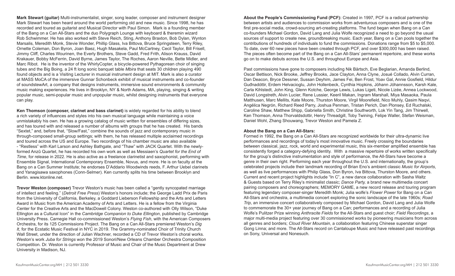**Mark Stewart (guitar)** Multi-instrumentalist, singer, song leader, composer and instrument designer Mark Stewart has been heard around the world performing old and new music. Since 1998, he has recorded and toured as guitarist and Musical Director with Paul Simon. Mark is a founding member of the Bang on a Can All-Stars and the duo Polygraph Lounge with keyboard & theremin wizard Rob Schwimmer. He has also worked with Steve Reich, Sting, Anthony Braxton, Bob Dylan, Wynton Marsalis, Meredith Monk, Stevie Wonder, Phillip Glass, Iva Bittova, Bruce Springsteen, Terry Riley, Ornette Coleman, Don Byron, Joan Baez, Hugh Masakela, Paul McCartney, Cecil Taylor, Bill Frisell, Jimmy Cliff, Charles Wourinen, the Everly Brothers, Steve Gadd, Fred Frith, Alison Krauss, David Krakauer, Bobby McFerrin, David Byrne, James Taylor, The Roches, Aaron Neville, Bette Midler, and Marc Ribot. He is the inventor of the WhirlyCopter, a bicycle-powered Pythagorean choir of singing tubes and the Big Boing, a 24 ft long sonic banquet table *Mbira* that seats 30 children playing 490 found objects and is a Visiting Lecturer in musical instrument design at MIT. Mark is also a curator at MASS MoCA of the immersive Gunnar Schonbeck exhibit of musical instruments and co-founder of soundstewArt, a company that designs instruments, immersive sound environments & community music making experiences. He lives in Brooklyn, NY & North Adams, MA, playing, singing & writing popular music, semi-popular music and unpopular music, whilst designing instruments that everyone can play.

**Ken Thomson (composer, clarinet and bass clarinet)** is widely regarded for his ability to blend a rich variety of influences and styles into his own musical language while maintaining a voice unmistakably his own. He has a growing catalog of music written for ensembles of differing sizes, and has toured with and released a number of albums with groups that he has created. His bands "Sextet," and, before that, "Slow/Fast," combine the sounds of jazz and contemporary music in through-composed small-group settings; with them, he has released multiple acclaimed recordings and toured across the US and Europe. Two recordings of his chamber music are also available - "Restless" with Karl Larson and Ashley Bathgate, and "Thaw" with JACK Quartet. With the newlyformed Anzû Quartet, he has recorded his own work as well as Messiaen's *Quartet for the End of Time*, for release in 2022. He is also active as a freelance clarinetist and saxophonist, performing with Ensemble Signal, International Contemporary Ensemble, Novus, and more. He is on faculty at the Bang on a Can Summer Institute; he endorses D'Addario Woodwinds reeds, F. Arthur Uebel clarinets and Yanagisawa saxophones (Conn-Selmer). Ken currently splits his time between Brooklyn and Berlin. www.ktonline.net.

**Trevor Weston (composer)** Trevor Weston's music has been called a "gently syncopated marriage of intellect and feeling." (*Detroit Free Press*) Weston's honors include; the George Ladd Prix de Paris from the University of California, Berkeley, a Goddard Lieberson Fellowship and the Arts and Letters Award in Music from the American Academy of Arts and Letters. He is a fellow from the Virginia Center for the Creative Arts and the MacDowell Colony. Weston co-authored with Olly Wilson, "Duke Ellington as a Cultural Icon" in the *Cambridge Companion to Duke Ellington*, published by Cambridge University Press. Carnegie Hall co-commissioned Weston's *Flying Fish*, with the American Composers Orchestra, for its 125 Commissions Project. The Bang on a Can All-Stars premiered Weston's *Dig It*, for the Ecstatic Music Festival in NYC in 2019. The Grammy-nominated Choir of Trinity Church Wall Street, under the direction of Julian Wachner, recorded a CD of Trevor Weston's choral works. Weston's work *Juba for Strings* won the 2019 Sonori/New Orleans Chamber Orchestra Composition Competition. Dr. Weston is currently Professor of Music and Chair of the Music Department at Drew University in Madison, NJ.

**About the People's Commissioning Fund (PCF):** Created in 1997, PCF is a radical partnership between artists and audiences to commission works from adventurous composers and is one of the first pre-social media, crowd-sourcing art-creating platforms. The fund began when Bang on a Can co-founders Michael Gordon, David Lang and Julia Wolfe recognized a need to go beyond the usual sources of support to create new, groundbreaking music. Each year, Bang on a Can pools together the contributions of hundreds of individuals to fund the commissions. Donations range from \$5 to \$5,000. To date, over 60 new pieces have been created through PCF, and over \$300,000 has been raised. The pieces often become part of the Bang on a Can All-Stars' permanent repertoire, and these works go on to make debuts across the U.S. and throughout Europe and Asia.

Past commissions have gone to composers including Nik Bärtsch, Eve Beglarian, Amanda Berlind, Oscar Bettison, Nick Brooke, Jeffrey Brooks, Jace Clayton, Anna Clyne, Josué Collado, Alvin Curran, Dan Deacon, Bryce Dessner, Sussan Deyhim, James Fei, Ben Frost, Yoav Gal, Annie Gosfield, Hildur Guđnadóttir, Erdem Helvacioglu, John Hollenbeck, Cynthia Hopkins, Jóhann Jóhannsson, Karsh Kale, Carla Kihlstedt, John King, Glenn Kotche, George Lewis, Lukas Ligeti, Nicole Lizée, Annea Lockwood, David Longstreth, Alvin Lucier, Rene Lussier, Keeril Makan, Ingram Marshall, Miya Masaoka, Paula Matthusen, Marc Mellits, Kate Moore, Thurston Moore, Virgil Moorefield, Nico Muhly, Qasim Naqvi, Angélica Negrón, Richard Reed Parry, Joshua Penman, Tristan Perich, Dan Plonsey, Ed Ruchalski, Caroline Shaw, Matthew Shipp, Gabriella Smith, Christine Southworth, Lok Yin Tang, Jim Thirwell, Ken Thomson, Anna Thorvaldsdottir, Henry Threadgill, Toby Twining, Felipe Waller, Stefan Weisman, Daniel Wohl, Zhang Shouwang, Trevor Weston and Pamela Z.

#### **About the Bang on a Can All-Stars:**

Formed in 1992, the Bang on a Can All-Stars are recognized worldwide for their ultra-dynamic live performances and recordings of today's most innovative music. Freely crossing the boundaries between classical, jazz, rock, world and experimental music, this six-member amplified ensemble has consistently forged a category-defying identity. With a massive repertoire of works written specifically for the group's distinctive instrumentation and style of performance, the All-Stars have become a genre in their own right. Performing each year throughout the U.S. and internationally, the group's celebrated projects include their landmark recording of Brian Eno's ambient classic *Music for Airports*, as well as live performances with Philip Glass, Don Byron, Iva Bittova, Thurston Moore, and others. Current and recent project highlights include "In C", a new dance collaboration with Sasha Waltz & Guests based on Terry Riley's minimalist classic; *Dance Party,* a brand new multimedia concert pairing composers and choreographers; MEMORY GAME, a new record release and touring program featuring legendary composer-singer Meredith Monk; Julia wolfe's *Flower Power* for Bang on a Can All-Stars and orchestra, a multimedia concert exploring the sonic landscape of the late 1960s; *Road Trip*, an immersive concert collaboratively composed by Michael Gordon, David Lang and Julia Wolfe to commemorate the 30+ year journey of Bang on a Can; performances and a recording of Julia Wolfe's Pulitzer Prize winning *Anthracite Fields* for the All-Stars and guest choir; *Field Recordings*, a major multi-media project featuring over 30 commissioned works by pioneering musicians from across all genres and borders; *Cloud River Mountain*, a collaboration featuring Chinese superstar singer Gong Linna; and more. The All-Stars record on Cantaloupe Music and have released past recordings on Sony, Universal and Nonesuch.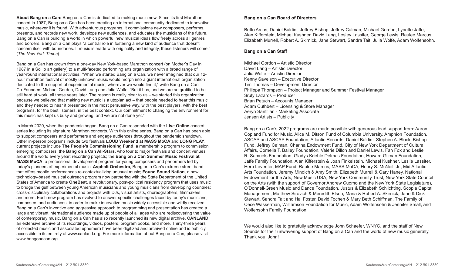**About Bang on a Can:** Bang on a Can is dedicated to making music new. Since its first Marathon concert in 1987, Bang on a Can has been creating an international community dedicated to innovative music, wherever it is found. With adventurous programs, it commissions new composers, performs, presents, and records new work, develops new audiences, and educates the musicians of the future. Bang on a Can is building a world in which powerful new musical ideas flow freely across all genres and borders. Bang on a Can plays "a central role in fostering a new kind of audience that doesn't concern itself with boundaries. If music is made with originality and integrity, these listeners will come." (*The New York Times*)

Bang on a Can has grown from a one-day New York-based Marathon concert (on Mother's Day in 1987 in a SoHo art gallery) to a multi-faceted performing arts organization with a broad range of year-round international activities. "When we started Bang on a Can, we never imagined that our 12 hour marathon festival of mostly unknown music would morph into a giant international organization dedicated to the support of experimental music, wherever we would find it," write Bang on a Can Co-Founders Michael Gordon, David Lang and Julia Wolfe. "But it has, and we are so gratified to be still hard at work, all these years later. The reason is really clear to us – we started this organization because we believed that making new music is a utopian act – that people needed to hear this music and they needed to hear it presented in the most persuasive way, with the best players, with the best programs, for the best listeners, in the best context. Our commitment to changing the environment for this music has kept us busy and growing, and we are not done yet."

In March 2020, when the pandemic began, Bang on a Can responded with the **Live Online** concert series including its signature Marathon concerts. With this online series, Bang on a Can has been able to support composers and performers and engage audiences throughout the pandemic shutdown. Other in-person programs include two festivals **LOUD Weekend at MASS MoCA** and **LONG PLAY**, current projects include **The People's Commissioning Fund**, a membership program to commission emerging composers; the **Bang on a Can All-Stars**, who tour to major festivals and concert venues around the world every year; recording projects; the **Bang on a Can Summer Music Festival at MASS MoCA**, a professional development program for young composers and performers led by today's pioneers of experimental music; **Asphalt Orchestra**, Bang on a Can's extreme street band that offers mobile performances re-contextualizing unusual music; **Found Sound Nation**, a new technology-based musical outreach program now partnering with the State Department of the United States of America to create **OneBeat**, a revolutionary, post-political residency program that uses music to bridge the gulf between young American musicians and young musicians from developing countries; cross-disciplinary collaborations and projects with DJs, visual artists, choreographers, filmmakers and more. Each new program has evolved to answer specific challenges faced by today's musicians, composers and audiences, in order to make innovative music widely accessible and wildly received. Bang on a Can's inventive and aggressive approach to programming and presentation has created a large and vibrant international audience made up of people of all ages who are rediscovering the value of contemporary music. Bang on a Can has also recently launched its new digital archive, **CANLAND**, an extensive archive of its recordings, videos, posters, program books, and more. Thirty-three years of collected music and associated ephemera have been digitized and archived online and is publicly accessible in its entirety at www.canland.org. For more information about Bang on a Can, please visit www.bangonacan.org.

# **Bang on a Can Board of Directors**

Betto Arcos, Daniel Baldini, Jeffrey Bishop, Jeffrey Calman, Michael Gordon, Lynette Jaffe, Alan Kifferstein, Michael Kushner, David Lang, Lesley Lassiter, George Lewis, Raulee Marcus, Elizabeth Murrell, Robert A. Skirnick, Jane Stewart, Sandra Tait, Julia Wolfe, Adam Wolfensohn.

# **Bang on a Can Staff**

Michael Gordon – Artistic Director David Lang – Artistic Director Julia Wolfe – Artistic Director Kenny Savelson – Executive Director Tim Thomas – Development Director Philippa Thompson – Project Manager and Summer Festival Manager Sruly Lazaros – Producer Brian Petuch – Accounts Manager Adam Cuthbert – Licensing & Store Manager Aeryn Santillan - Marketing Associate Jensen Artists – Publicity

Bang on a Can's 2022 programs are made possible with generous lead support from: Aaron Copland Fund for Music, Alice M. Ditson Fund of Columbia University, Amphion Foundation, ASCAP and ASCAP Foundation, Atlantic Records, Daniel Baldini, Stephen A. Block, Bishop Fund, Jeffrey Calman, Charina Endowment Fund, City of New York Department of Cultural Affairs, Cornelia T. Bailey Foundation, Valerie Dillon and Daniel Lewis, Fan Fox and Leslie R. Samuels Foundation, Gladys Krieble Delmas Foundation, Howard Gilman Foundation, Jaffe Family Foundation, Alan Kifferstein & Joan Finkelstein, Michael Kushner, Leslie Lassiter, Herb Leventer, MAP Fund, Raulee Marcus, MASS MoCA, Henry S. McNeil, Jr., Mid Atlantic Arts Foundation, Jeremy Mindich & Amy Smith, Elizabeth Murrell & Gary Haney, National Endowment for the Arts, New Music USA, New York Community Trust, New York State Council on the Arts (with the support of Governor Andrew Cuomo and the New York State Legislature), O'Donnell-Green Music and Dance Foundation, Justus & Elizabeth Schlichting, Scopia Capital Management, Matthew Sirovich & Meredith Elson, Maria & Robert A. Skirnick, Jane & Dick Stewart, Sandra Tait and Hal Foster, David Tochen & Mary Beth Schiffman, The Family of Cece Wasserman, Williamson Foundation for Music, Adam Wolfensohn & Jennifer Small, and Wolfensohn Family Foundation.

We would also like to gratefully acknowledge John Schaefer, WNYC, and the staff of New Sounds for their unwavering support of Bang on a Can and the world of new music generally. Thank you, John!